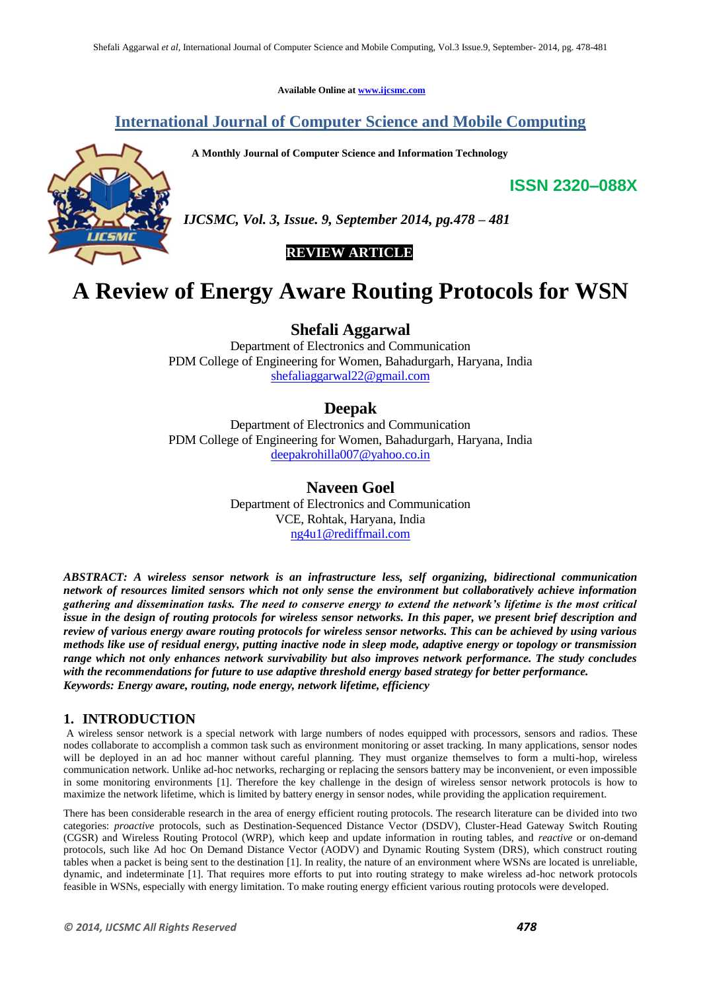**Available Online at [www.ijcsmc.com](http://www.ijcsmc.com/)**

# **International Journal of Computer Science and Mobile Computing**

 **A Monthly Journal of Computer Science and Information Technology**

**ISSN 2320–088X**



*IJCSMC, Vol. 3, Issue. 9, September 2014, pg.478 – 481*

 **REVIEW ARTICLE**

# **A Review of Energy Aware Routing Protocols for WSN**

**Shefali Aggarwal**

Department of Electronics and Communication PDM College of Engineering for Women, Bahadurgarh, Haryana, India [shefaliaggarwal22@gmail.com](mailto:shefaliaggarwal22@gmail.com)

## **Deepak**

Department of Electronics and Communication PDM College of Engineering for Women, Bahadurgarh, Haryana, India [deepakrohilla007@yahoo.co.in](mailto:deepakrohilla007@yahoo.co.in)

## **Naveen Goel**

Department of Electronics and Communication VCE, Rohtak, Haryana, India [ng4u1@rediffmail.com](mailto:ng4u1@rediffmail.com)

*ABSTRACT: A wireless sensor network is an infrastructure less, self organizing, bidirectional communication network of resources limited sensors which not only sense the environment but collaboratively achieve information gathering and dissemination tasks. The need to conserve energy to extend the network's lifetime is the most critical issue in the design of routing protocols for wireless sensor networks. In this paper, we present brief description and review of various energy aware routing protocols for wireless sensor networks. This can be achieved by using various methods like use of residual energy, putting inactive node in sleep mode, adaptive energy or topology or transmission range which not only enhances network survivability but also improves network performance. The study concludes with the recommendations for future to use adaptive threshold energy based strategy for better performance. Keywords: Energy aware, routing, node energy, network lifetime, efficiency*

## **1. INTRODUCTION**

A wireless sensor network is a special network with large numbers of nodes equipped with processors, sensors and radios. These nodes collaborate to accomplish a common task such as environment monitoring or asset tracking. In many applications, sensor nodes will be deployed in an ad hoc manner without careful planning. They must organize themselves to form a multi-hop, wireless communication network. Unlike ad-hoc networks, recharging or replacing the sensors battery may be inconvenient, or even impossible in some monitoring environments [1]. Therefore the key challenge in the design of wireless sensor network protocols is how to maximize the network lifetime, which is limited by battery energy in sensor nodes, while providing the application requirement.

There has been considerable research in the area of energy efficient routing protocols. The research literature can be divided into two categories: *proactive* protocols, such as Destination-Sequenced Distance Vector (DSDV), Cluster-Head Gateway Switch Routing (CGSR) and Wireless Routing Protocol (WRP), which keep and update information in routing tables, and *reactive* or on-demand protocols, such like Ad hoc On Demand Distance Vector (AODV) and Dynamic Routing System (DRS), which construct routing tables when a packet is being sent to the destination [1]. In reality, the nature of an environment where WSNs are located is unreliable, dynamic, and indeterminate [1]. That requires more efforts to put into routing strategy to make wireless ad-hoc network protocols feasible in WSNs, especially with energy limitation. To make routing energy efficient various routing protocols were developed.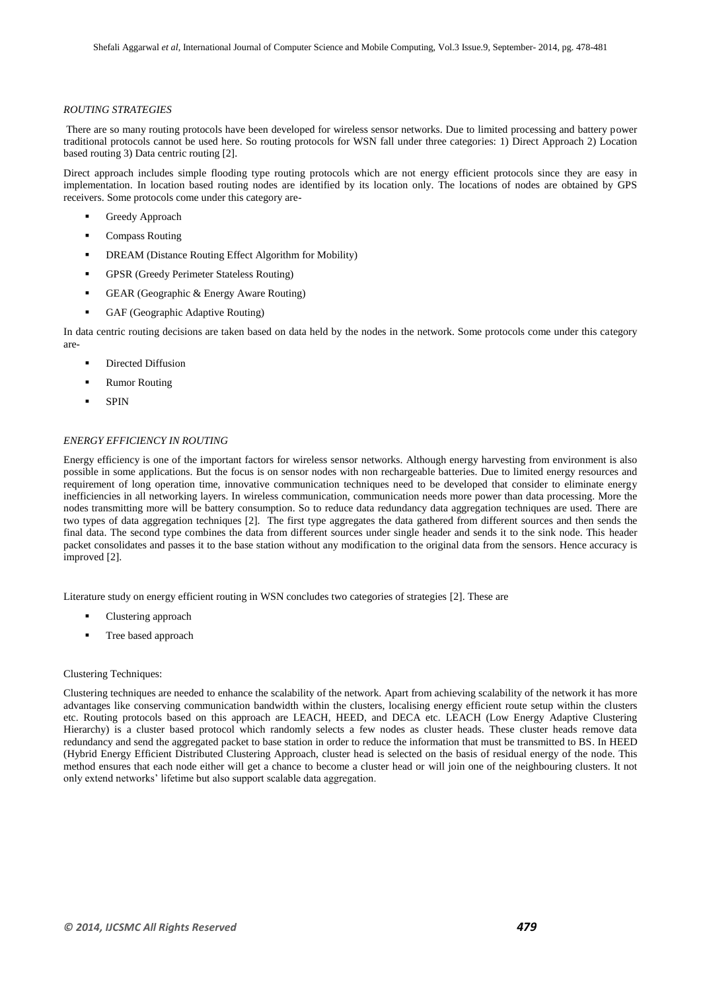#### *ROUTING STRATEGIES*

There are so many routing protocols have been developed for wireless sensor networks. Due to limited processing and battery power traditional protocols cannot be used here. So routing protocols for WSN fall under three categories: 1) Direct Approach 2) Location based routing 3) Data centric routing [2].

Direct approach includes simple flooding type routing protocols which are not energy efficient protocols since they are easy in implementation. In location based routing nodes are identified by its location only. The locations of nodes are obtained by GPS receivers. Some protocols come under this category are-

- Greedy Approach
- Compass Routing
- DREAM (Distance Routing Effect Algorithm for Mobility)
- GPSR (Greedy Perimeter Stateless Routing)
- GEAR (Geographic & Energy Aware Routing)
- GAF (Geographic Adaptive Routing)

In data centric routing decisions are taken based on data held by the nodes in the network. Some protocols come under this category are-

- Directed Diffusion
- Rumor Routing
- **SPIN**

#### *ENERGY EFFICIENCY IN ROUTING*

Energy efficiency is one of the important factors for wireless sensor networks. Although energy harvesting from environment is also possible in some applications. But the focus is on sensor nodes with non rechargeable batteries. Due to limited energy resources and requirement of long operation time, innovative communication techniques need to be developed that consider to eliminate energy inefficiencies in all networking layers. In wireless communication, communication needs more power than data processing. More the nodes transmitting more will be battery consumption. So to reduce data redundancy data aggregation techniques are used. There are two types of data aggregation techniques [2]. The first type aggregates the data gathered from different sources and then sends the final data. The second type combines the data from different sources under single header and sends it to the sink node. This header packet consolidates and passes it to the base station without any modification to the original data from the sensors. Hence accuracy is improved [2].

Literature study on energy efficient routing in WSN concludes two categories of strategies [2]. These are

- Clustering approach
- Tree based approach

#### Clustering Techniques:

Clustering techniques are needed to enhance the scalability of the network. Apart from achieving scalability of the network it has more advantages like conserving communication bandwidth within the clusters, localising energy efficient route setup within the clusters etc. Routing protocols based on this approach are LEACH, HEED, and DECA etc. LEACH (Low Energy Adaptive Clustering Hierarchy) is a cluster based protocol which randomly selects a few nodes as cluster heads. These cluster heads remove data redundancy and send the aggregated packet to base station in order to reduce the information that must be transmitted to BS. In HEED (Hybrid Energy Efficient Distributed Clustering Approach, cluster head is selected on the basis of residual energy of the node. This method ensures that each node either will get a chance to become a cluster head or will join one of the neighbouring clusters. It not only extend networks' lifetime but also support scalable data aggregation.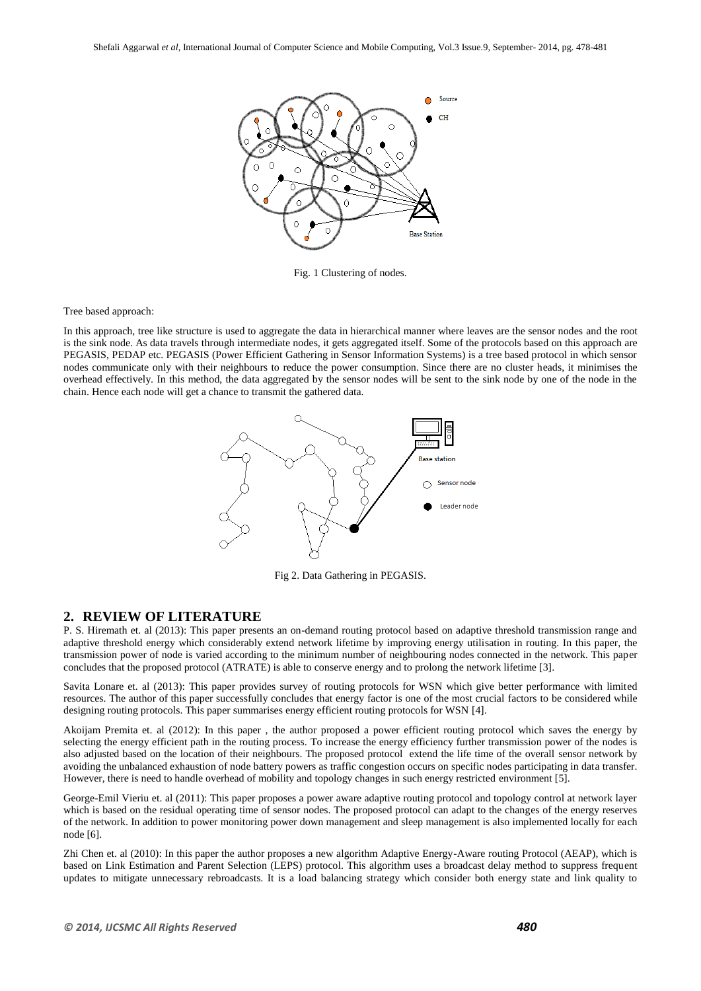

Fig. 1 Clustering of nodes.

#### Tree based approach:

In this approach, tree like structure is used to aggregate the data in hierarchical manner where leaves are the sensor nodes and the root is the sink node. As data travels through intermediate nodes, it gets aggregated itself. Some of the protocols based on this approach are PEGASIS, PEDAP etc. PEGASIS (Power Efficient Gathering in Sensor Information Systems) is a tree based protocol in which sensor nodes communicate only with their neighbours to reduce the power consumption. Since there are no cluster heads, it minimises the overhead effectively. In this method, the data aggregated by the sensor nodes will be sent to the sink node by one of the node in the chain. Hence each node will get a chance to transmit the gathered data.



Fig 2. Data Gathering in PEGASIS.

## **2. REVIEW OF LITERATURE**

P. S. Hiremath et. al (2013): This paper presents an on-demand routing protocol based on adaptive threshold transmission range and adaptive threshold energy which considerably extend network lifetime by improving energy utilisation in routing. In this paper, the transmission power of node is varied according to the minimum number of neighbouring nodes connected in the network. This paper concludes that the proposed protocol (ATRATE) is able to conserve energy and to prolong the network lifetime [3].

Savita Lonare et. al (2013): This paper provides survey of routing protocols for WSN which give better performance with limited resources. The author of this paper successfully concludes that energy factor is one of the most crucial factors to be considered while designing routing protocols. This paper summarises energy efficient routing protocols for WSN [4].

Akoijam Premita et. al (2012): In this paper , the author proposed a power efficient routing protocol which saves the energy by selecting the energy efficient path in the routing process. To increase the energy efficiency further transmission power of the nodes is also adjusted based on the location of their neighbours. The proposed protocol extend the life time of the overall sensor network by avoiding the unbalanced exhaustion of node battery powers as traffic congestion occurs on specific nodes participating in data transfer. However, there is need to handle overhead of mobility and topology changes in such energy restricted environment [5].

George-Emil Vieriu et. al (2011): This paper proposes a power aware adaptive routing protocol and topology control at network layer which is based on the residual operating time of sensor nodes. The proposed protocol can adapt to the changes of the energy reserves of the network. In addition to power monitoring power down management and sleep management is also implemented locally for each node [6].

Zhi Chen et. al (2010): In this paper the author proposes a new algorithm Adaptive Energy-Aware routing Protocol (AEAP), which is based on Link Estimation and Parent Selection (LEPS) protocol. This algorithm uses a broadcast delay method to suppress frequent updates to mitigate unnecessary rebroadcasts. It is a load balancing strategy which consider both energy state and link quality to